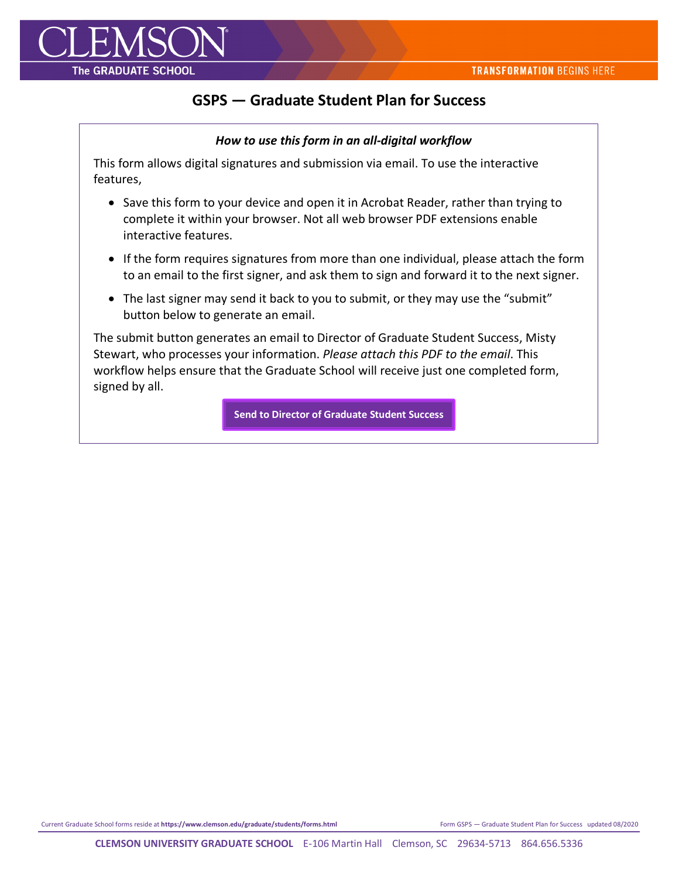

## **GSPS — Graduate Student Plan for Success**

## *How to use this form in an all-digital workflow*

This form allows digital signatures and submission via email. To use the interactive features,

- Save this form to your device and open it in Acrobat Reader, rather than trying to complete it within your browser. Not all web browser PDF extensions enable interactive features.
- If the form requires signatures from more than one individual, please attach the form to an email to the first signer, and ask them to sign and forward it to the next signer.
- The last signer may send it back to you to submit, or they may use the "submit" button below to generate an email.

The submit button generates an email to Director of Graduate Student Success, Misty Stewart, who processes your information. *Please attach this PDF to the email*. This workflow helps ensure that the Graduate School will receive just one completed form, signed by all.

**[Send to Director of Graduate Student Success](mailto:misty4@clemson.edu)**